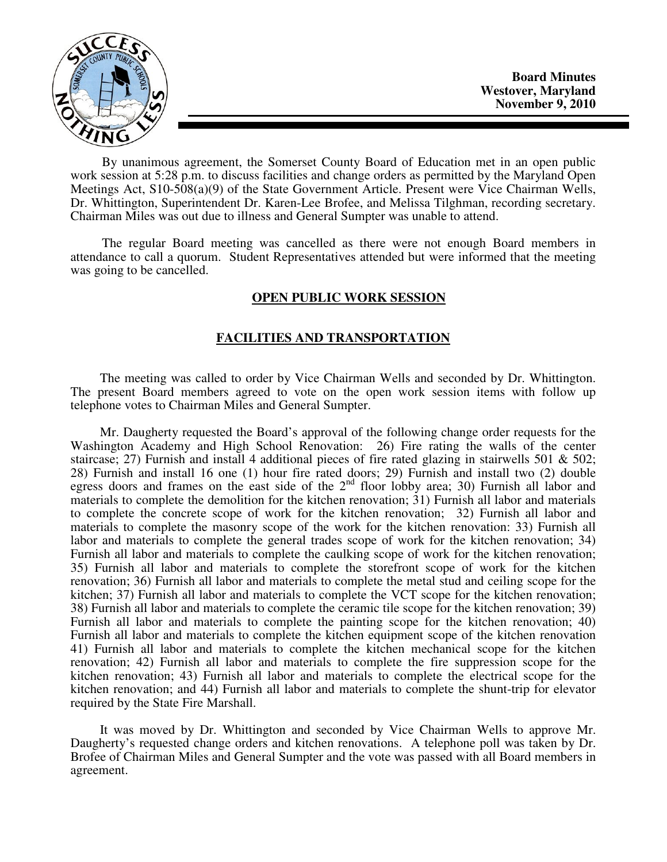

By unanimous agreement, the Somerset County Board of Education met in an open public work session at 5:28 p.m. to discuss facilities and change orders as permitted by the Maryland Open Meetings Act, S10-508(a)(9) of the State Government Article. Present were Vice Chairman Wells, Dr. Whittington, Superintendent Dr. Karen-Lee Brofee, and Melissa Tilghman, recording secretary. Chairman Miles was out due to illness and General Sumpter was unable to attend.

The regular Board meeting was cancelled as there were not enough Board members in attendance to call a quorum. Student Representatives attended but were informed that the meeting was going to be cancelled.

## **OPEN PUBLIC WORK SESSION**

## **FACILITIES AND TRANSPORTATION**

 The meeting was called to order by Vice Chairman Wells and seconded by Dr. Whittington. The present Board members agreed to vote on the open work session items with follow up telephone votes to Chairman Miles and General Sumpter.

 Mr. Daugherty requested the Board's approval of the following change order requests for the Washington Academy and High School Renovation: 26) Fire rating the walls of the center staircase; 27) Furnish and install 4 additional pieces of fire rated glazing in stairwells 501  $\&$  502; 28) Furnish and install 16 one (1) hour fire rated doors; 29) Furnish and install two (2) double egress doors and frames on the east side of the  $2<sup>nd</sup>$  floor lobby area; 30) Furnish all labor and materials to complete the demolition for the kitchen renovation; 31) Furnish all labor and materials to complete the concrete scope of work for the kitchen renovation; 32) Furnish all labor and materials to complete the masonry scope of the work for the kitchen renovation: 33) Furnish all labor and materials to complete the general trades scope of work for the kitchen renovation; 34) Furnish all labor and materials to complete the caulking scope of work for the kitchen renovation; 35) Furnish all labor and materials to complete the storefront scope of work for the kitchen renovation; 36) Furnish all labor and materials to complete the metal stud and ceiling scope for the kitchen; 37) Furnish all labor and materials to complete the VCT scope for the kitchen renovation; 38) Furnish all labor and materials to complete the ceramic tile scope for the kitchen renovation; 39) Furnish all labor and materials to complete the painting scope for the kitchen renovation; 40) Furnish all labor and materials to complete the kitchen equipment scope of the kitchen renovation 41) Furnish all labor and materials to complete the kitchen mechanical scope for the kitchen renovation; 42) Furnish all labor and materials to complete the fire suppression scope for the kitchen renovation; 43) Furnish all labor and materials to complete the electrical scope for the kitchen renovation; and 44) Furnish all labor and materials to complete the shunt-trip for elevator required by the State Fire Marshall.

 It was moved by Dr. Whittington and seconded by Vice Chairman Wells to approve Mr. Daugherty's requested change orders and kitchen renovations. A telephone poll was taken by Dr. Brofee of Chairman Miles and General Sumpter and the vote was passed with all Board members in agreement.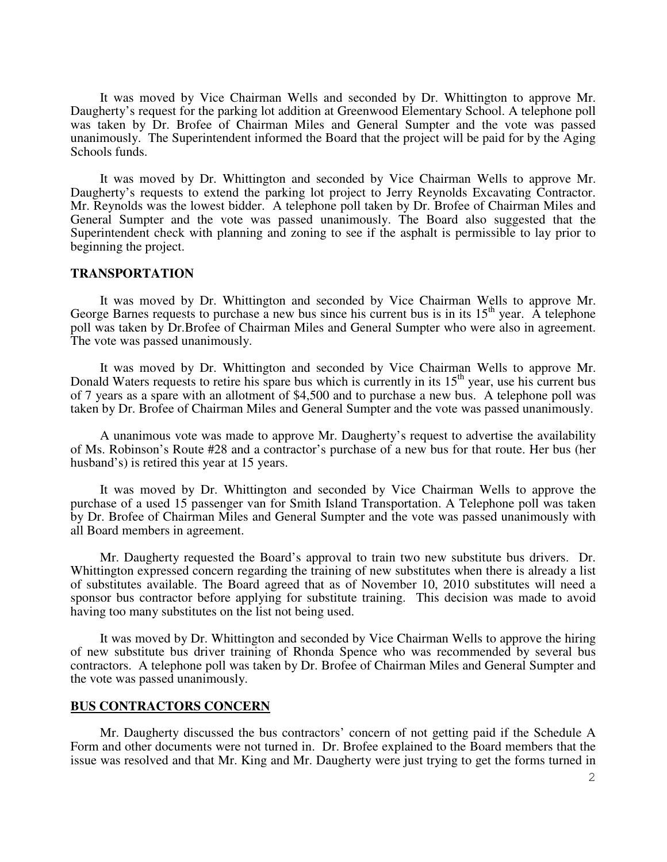It was moved by Vice Chairman Wells and seconded by Dr. Whittington to approve Mr. Daugherty's request for the parking lot addition at Greenwood Elementary School. A telephone poll was taken by Dr. Brofee of Chairman Miles and General Sumpter and the vote was passed unanimously. The Superintendent informed the Board that the project will be paid for by the Aging Schools funds.

 It was moved by Dr. Whittington and seconded by Vice Chairman Wells to approve Mr. Daugherty's requests to extend the parking lot project to Jerry Reynolds Excavating Contractor. Mr. Reynolds was the lowest bidder. A telephone poll taken by Dr. Brofee of Chairman Miles and General Sumpter and the vote was passed unanimously. The Board also suggested that the Superintendent check with planning and zoning to see if the asphalt is permissible to lay prior to beginning the project.

## **TRANSPORTATION**

 It was moved by Dr. Whittington and seconded by Vice Chairman Wells to approve Mr. George Barnes requests to purchase a new bus since his current bus is in its  $15<sup>th</sup>$  year. A telephone poll was taken by Dr.Brofee of Chairman Miles and General Sumpter who were also in agreement. The vote was passed unanimously.

 It was moved by Dr. Whittington and seconded by Vice Chairman Wells to approve Mr. Donald Waters requests to retire his spare bus which is currently in its 15<sup>th</sup> year, use his current bus of 7 years as a spare with an allotment of \$4,500 and to purchase a new bus. A telephone poll was taken by Dr. Brofee of Chairman Miles and General Sumpter and the vote was passed unanimously.

 A unanimous vote was made to approve Mr. Daugherty's request to advertise the availability of Ms. Robinson's Route #28 and a contractor's purchase of a new bus for that route. Her bus (her husband's) is retired this year at 15 years.

 It was moved by Dr. Whittington and seconded by Vice Chairman Wells to approve the purchase of a used 15 passenger van for Smith Island Transportation. A Telephone poll was taken by Dr. Brofee of Chairman Miles and General Sumpter and the vote was passed unanimously with all Board members in agreement.

 Mr. Daugherty requested the Board's approval to train two new substitute bus drivers. Dr. Whittington expressed concern regarding the training of new substitutes when there is already a list of substitutes available. The Board agreed that as of November 10, 2010 substitutes will need a sponsor bus contractor before applying for substitute training. This decision was made to avoid having too many substitutes on the list not being used.

 It was moved by Dr. Whittington and seconded by Vice Chairman Wells to approve the hiring of new substitute bus driver training of Rhonda Spence who was recommended by several bus contractors. A telephone poll was taken by Dr. Brofee of Chairman Miles and General Sumpter and the vote was passed unanimously.

## **BUS CONTRACTORS CONCERN**

 Mr. Daugherty discussed the bus contractors' concern of not getting paid if the Schedule A Form and other documents were not turned in. Dr. Brofee explained to the Board members that the issue was resolved and that Mr. King and Mr. Daugherty were just trying to get the forms turned in